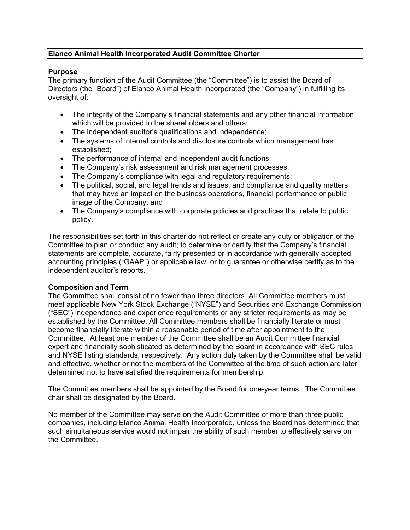# **Elanco Animal Health Incorporated Audit Committee Charter**

### **Purpose**

The primary function of the Audit Committee (the "Committee") is to assist the Board of Directors (the "Board") of Elanco Animal Health Incorporated (the "Company") in fulfilling its oversight of:

- The integrity of the Company's financial statements and any other financial information which will be provided to the shareholders and others;
- The independent auditor's qualifications and independence;
- The systems of internal controls and disclosure controls which management has established;
- The performance of internal and independent audit functions;
- The Company's risk assessment and risk management processes;
- The Company's compliance with legal and regulatory requirements;
- The political, social, and legal trends and issues, and compliance and quality matters that may have an impact on the business operations, financial performance or public image of the Company; and
- The Company's compliance with corporate policies and practices that relate to public policy.

The responsibilities set forth in this charter do not reflect or create any duty or obligation of the Committee to plan or conduct any audit; to determine or certify that the Company's financial statements are complete, accurate, fairly presented or in accordance with generally accepted accounting principles ("GAAP") or applicable law; or to guarantee or otherwise certify as to the independent auditor's reports.

#### **Composition and Term**

The Committee shall consist of no fewer than three directors. All Committee members must meet applicable New York Stock Exchange ("NYSE") and Securities and Exchange Commission ("SEC") independence and experience requirements or any stricter requirements as may be established by the Committee. All Committee members shall be financially literate or must become financially literate within a reasonable period of time after appointment to the Committee. At least one member of the Committee shall be an Audit Committee financial expert and financially sophisticated as determined by the Board in accordance with SEC rules and NYSE listing standards, respectively. Any action duly taken by the Committee shall be valid and effective, whether or not the members of the Committee at the time of such action are later determined not to have satisfied the requirements for membership.

The Committee members shall be appointed by the Board for one-year terms. The Committee chair shall be designated by the Board.

No member of the Committee may serve on the Audit Committee of more than three public companies, including Elanco Animal Health Incorporated, unless the Board has determined that such simultaneous service would not impair the ability of such member to effectively serve on the Committee.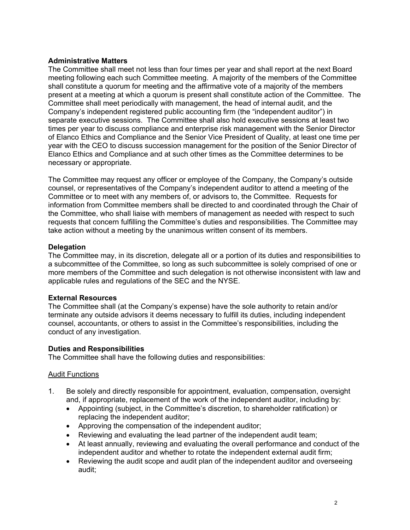# **Administrative Matters**

The Committee shall meet not less than four times per year and shall report at the next Board meeting following each such Committee meeting. A majority of the members of the Committee shall constitute a quorum for meeting and the affirmative vote of a majority of the members present at a meeting at which a quorum is present shall constitute action of the Committee. The Committee shall meet periodically with management, the head of internal audit, and the Company's independent registered public accounting firm (the "independent auditor") in separate executive sessions. The Committee shall also hold executive sessions at least two times per year to discuss compliance and enterprise risk management with the Senior Director of Elanco Ethics and Compliance and the Senior Vice President of Quality, at least one time per year with the CEO to discuss succession management for the position of the Senior Director of Elanco Ethics and Compliance and at such other times as the Committee determines to be necessary or appropriate.

The Committee may request any officer or employee of the Company, the Company's outside counsel, or representatives of the Company's independent auditor to attend a meeting of the Committee or to meet with any members of, or advisors to, the Committee. Requests for information from Committee members shall be directed to and coordinated through the Chair of the Committee, who shall liaise with members of management as needed with respect to such requests that concern fulfilling the Committee's duties and responsibilities. The Committee may take action without a meeting by the unanimous written consent of its members.

### **Delegation**

The Committee may, in its discretion, delegate all or a portion of its duties and responsibilities to a subcommittee of the Committee, so long as such subcommittee is solely comprised of one or more members of the Committee and such delegation is not otherwise inconsistent with law and applicable rules and regulations of the SEC and the NYSE.

# **External Resources**

The Committee shall (at the Company's expense) have the sole authority to retain and/or terminate any outside advisors it deems necessary to fulfill its duties, including independent counsel, accountants, or others to assist in the Committee's responsibilities, including the conduct of any investigation.

# **Duties and Responsibilities**

The Committee shall have the following duties and responsibilities:

#### Audit Functions

- 1. Be solely and directly responsible for appointment, evaluation, compensation, oversight and, if appropriate, replacement of the work of the independent auditor, including by:
	- Appointing (subject, in the Committee's discretion, to shareholder ratification) or replacing the independent auditor;
	- Approving the compensation of the independent auditor;
	- Reviewing and evaluating the lead partner of the independent audit team;
	- At least annually, reviewing and evaluating the overall performance and conduct of the independent auditor and whether to rotate the independent external audit firm;
	- Reviewing the audit scope and audit plan of the independent auditor and overseeing audit;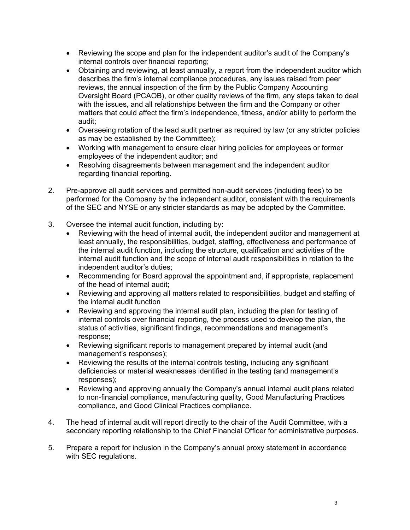- Reviewing the scope and plan for the independent auditor's audit of the Company's internal controls over financial reporting;
- Obtaining and reviewing, at least annually, a report from the independent auditor which describes the firm's internal compliance procedures, any issues raised from peer reviews, the annual inspection of the firm by the Public Company Accounting Oversight Board (PCAOB), or other quality reviews of the firm, any steps taken to deal with the issues, and all relationships between the firm and the Company or other matters that could affect the firm's independence, fitness, and/or ability to perform the audit;
- Overseeing rotation of the lead audit partner as required by law (or any stricter policies as may be established by the Committee);
- Working with management to ensure clear hiring policies for employees or former employees of the independent auditor; and
- Resolving disagreements between management and the independent auditor regarding financial reporting.
- 2. Pre-approve all audit services and permitted non-audit services (including fees) to be performed for the Company by the independent auditor, consistent with the requirements of the SEC and NYSE or any stricter standards as may be adopted by the Committee.
- 3. Oversee the internal audit function, including by:
	- Reviewing with the head of internal audit, the independent auditor and management at least annually, the responsibilities, budget, staffing, effectiveness and performance of the internal audit function, including the structure, qualification and activities of the internal audit function and the scope of internal audit responsibilities in relation to the independent auditor's duties;
	- Recommending for Board approval the appointment and, if appropriate, replacement of the head of internal audit;
	- Reviewing and approving all matters related to responsibilities, budget and staffing of the internal audit function
	- Reviewing and approving the internal audit plan, including the plan for testing of internal controls over financial reporting, the process used to develop the plan, the status of activities, significant findings, recommendations and management's response;
	- Reviewing significant reports to management prepared by internal audit (and management's responses);
	- Reviewing the results of the internal controls testing, including any significant deficiencies or material weaknesses identified in the testing (and management's responses);
	- Reviewing and approving annually the Company's annual internal audit plans related to non-financial compliance, manufacturing quality, Good Manufacturing Practices compliance, and Good Clinical Practices compliance.
- 4. The head of internal audit will report directly to the chair of the Audit Committee, with a secondary reporting relationship to the Chief Financial Officer for administrative purposes.
- 5. Prepare a report for inclusion in the Company's annual proxy statement in accordance with SEC regulations.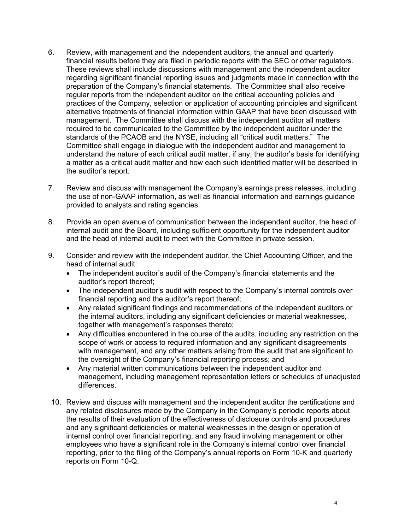- 6. Review, with management and the independent auditors, the annual and quarterly financial results before they are filed in periodic reports with the SEC or other regulators. These reviews shall include discussions with management and the independent auditor regarding significant financial reporting issues and judgments made in connection with the preparation of the Company's financial statements. The Committee shall also receive regular reports from the independent auditor on the critical accounting policies and practices of the Company, selection or application of accounting principles and significant alternative treatments of financial information within GAAP that have been discussed with management. The Committee shall discuss with the independent auditor all matters required to be communicated to the Committee by the independent auditor under the standards of the PCAOB and the NYSE, including all "critical audit matters." The Committee shall engage in dialogue with the independent auditor and management to understand the nature of each critical audit matter, if any, the auditor's basis for identifying a matter as a critical audit matter and how each such identified matter will be described in the auditor's report.
- 7. Review and discuss with management the Company's earnings press releases, including the use of non-GAAP information, as well as financial information and earnings guidance provided to analysts and rating agencies.
- 8. Provide an open avenue of communication between the independent auditor, the head of internal audit and the Board, including sufficient opportunity for the independent auditor and the head of internal audit to meet with the Committee in private session.
- 9. Consider and review with the independent auditor, the Chief Accounting Officer, and the head of internal audit:
	- The independent auditor's audit of the Company's financial statements and the auditor's report thereof;
	- The independent auditor's audit with respect to the Company's internal controls over financial reporting and the auditor's report thereof;
	- Any related significant findings and recommendations of the independent auditors or the internal auditors, including any significant deficiencies or material weaknesses, together with management's responses thereto;
	- Any difficulties encountered in the course of the audits, including any restriction on the scope of work or access to required information and any significant disagreements with management, and any other matters arising from the audit that are significant to the oversight of the Company's financial reporting process; and
	- Any material written communications between the independent auditor and management, including management representation letters or schedules of unadjusted differences.
- 10. Review and discuss with management and the independent auditor the certifications and any related disclosures made by the Company in the Company's periodic reports about the results of their evaluation of the effectiveness of disclosure controls and procedures and any significant deficiencies or material weaknesses in the design or operation of internal control over financial reporting, and any fraud involving management or other employees who have a significant role in the Company's internal control over financial reporting, prior to the filing of the Company's annual reports on Form 10-K and quarterly reports on Form 10-Q.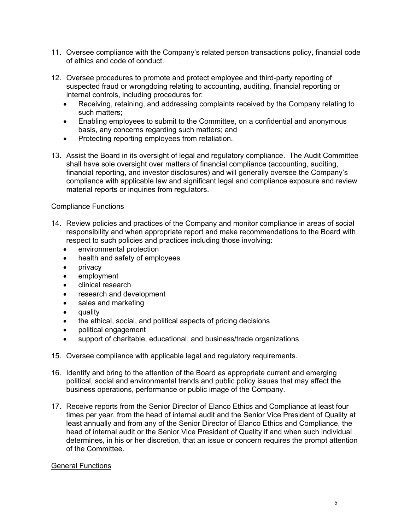- 11. Oversee compliance with the Company's related person transactions policy, financial code of ethics and code of conduct.
- 12. Oversee procedures to promote and protect employee and third-party reporting of suspected fraud or wrongdoing relating to accounting, auditing, financial reporting or internal controls, including procedures for:
	- Receiving, retaining, and addressing complaints received by the Company relating to such matters;
	- Enabling employees to submit to the Committee, on a confidential and anonymous basis, any concerns regarding such matters; and
	- Protecting reporting employees from retaliation.
- 13. Assist the Board in its oversight of legal and regulatory compliance. The Audit Committee shall have sole oversight over matters of financial compliance (accounting, auditing, financial reporting, and investor disclosures) and will generally oversee the Company's compliance with applicable law and significant legal and compliance exposure and review material reports or inquiries from regulators.

### Compliance Functions

- 14. Review policies and practices of the Company and monitor compliance in areas of social responsibility and when appropriate report and make recommendations to the Board with respect to such policies and practices including those involving:
	- environmental protection
	- health and safety of employees
	- privacy
	- employment
	- clinical research
	- research and development
	- sales and marketing
	- quality
	- the ethical, social, and political aspects of pricing decisions
	- political engagement
	- support of charitable, educational, and business/trade organizations
- 15. Oversee compliance with applicable legal and regulatory requirements.
- 16. Identify and bring to the attention of the Board as appropriate current and emerging political, social and environmental trends and public policy issues that may affect the business operations, performance or public image of the Company.
- 17. Receive reports from the Senior Director of Elanco Ethics and Compliance at least four times per year, from the head of internal audit and the Senior Vice President of Quality at least annually and from any of the Senior Director of Elanco Ethics and Compliance, the head of internal audit or the Senior Vice President of Quality if and when such individual determines, in his or her discretion, that an issue or concern requires the prompt attention of the Committee.

#### General Functions